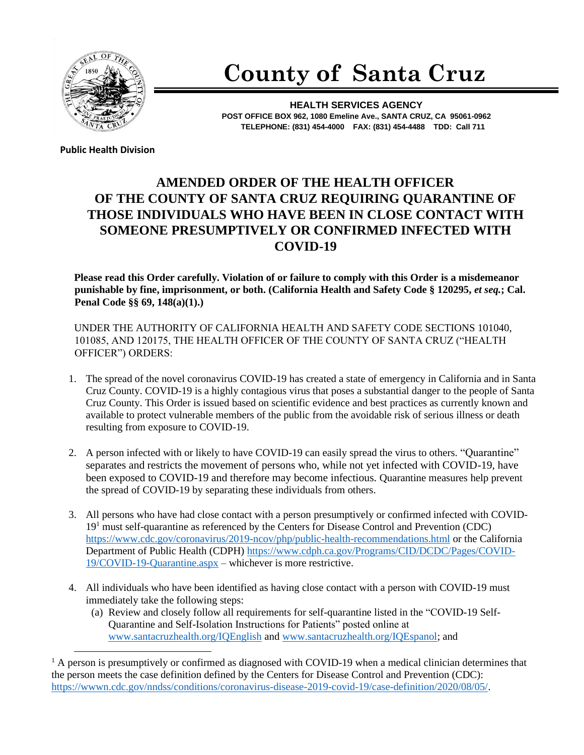

## **County of Santa Cruz**

**HEALTH SERVICES AGENCY POST OFFICE BOX 962, 1080 Emeline Ave., SANTA CRUZ, CA 95061-0962 TELEPHONE: (831) 454-4000 FAX: (831) 454-4488 TDD: Call 711**

**Public Health Division** 

## **AMENDED ORDER OF THE HEALTH OFFICER OF THE COUNTY OF SANTA CRUZ REQUIRING QUARANTINE OF THOSE INDIVIDUALS WHO HAVE BEEN IN CLOSE CONTACT WITH SOMEONE PRESUMPTIVELY OR CONFIRMED INFECTED WITH COVID-19**

**Please read this Order carefully. Violation of or failure to comply with this Order is a misdemeanor punishable by fine, imprisonment, or both. (California Health and Safety Code § 120295,** *et seq.***; Cal. Penal Code §§ 69, 148(a)(1).)**

UNDER THE AUTHORITY OF CALIFORNIA HEALTH AND SAFETY CODE SECTIONS 101040, 101085, AND 120175, THE HEALTH OFFICER OF THE COUNTY OF SANTA CRUZ ("HEALTH OFFICER") ORDERS:

- 1. The spread of the novel coronavirus COVID-19 has created a state of emergency in California and in Santa Cruz County. COVID-19 is a highly contagious virus that poses a substantial danger to the people of Santa Cruz County. This Order is issued based on scientific evidence and best practices as currently known and available to protect vulnerable members of the public from the avoidable risk of serious illness or death resulting from exposure to COVID-19.
- 2. A person infected with or likely to have COVID-19 can easily spread the virus to others. "Quarantine" separates and restricts the movement of persons who, while not yet infected with COVID-19, have been exposed to COVID-19 and therefore may become infectious. Quarantine measures help prevent the spread of COVID-19 by separating these individuals from others.
- 3. All persons who have had close contact with a person presumptively or confirmed infected with COVID- $19<sup>1</sup>$  must self-quarantine as referenced by the Centers for Disease Control and Prevention (CDC) <https://www.cdc.gov/coronavirus/2019-ncov/php/public-health-recommendations.html> or the California Department of Public Health (CDPH) [https://www.cdph.ca.gov/Programs/CID/DCDC/Pages/COVID-](https://www.cdph.ca.gov/Programs/CID/DCDC/Pages/COVID-19/COVID-19-Quarantine.aspx)[19/COVID-19-Quarantine.aspx](https://www.cdph.ca.gov/Programs/CID/DCDC/Pages/COVID-19/COVID-19-Quarantine.aspx) – whichever is more restrictive.
- 4. All individuals who have been identified as having close contact with a person with COVID-19 must immediately take the following steps:
	- (a) Review and closely follow all requirements for self-quarantine listed in the "COVID-19 Self-Quarantine and Self-Isolation Instructions for Patients" posted online at [www.santacruzhealth.org/IQEnglish](http://www.santacruzhealth.org/IQEnglish) and [www.santacruzhealth.org/IQEspanol;](http://www.santacruzhealth.org/IQEspanol) and

 $1$  A person is presumptively or confirmed as diagnosed with COVID-19 when a medical clinician determines that the person meets the case definition defined by the Centers for Disease Control and Prevention (CDC): [https://wwwn.cdc.gov/nndss/conditions/coronavirus-disease-2019-covid-19/case-definition/2020/08/05/.](https://wwwn.cdc.gov/nndss/conditions/coronavirus-disease-2019-covid-19/case-definition/2020/08/05/)